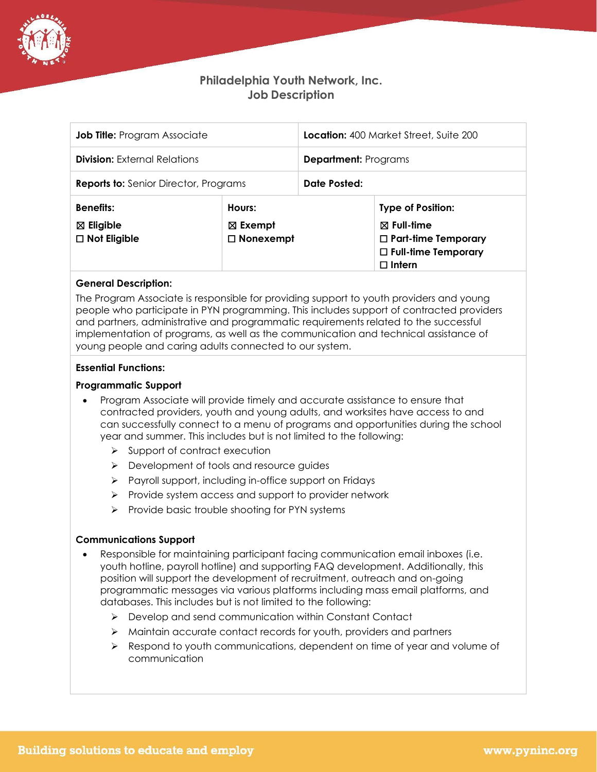

# **Philadelphia Youth Network, Inc. Job Description**

| <b>Job Title:</b> Program Associate                             |                                                  | <b>Location:</b> 400 Market Street, Suite 200 |                                                                                                                                |
|-----------------------------------------------------------------|--------------------------------------------------|-----------------------------------------------|--------------------------------------------------------------------------------------------------------------------------------|
| <b>Division:</b> External Relations                             |                                                  | <b>Department:</b> Programs                   |                                                                                                                                |
| <b>Reports to:</b> Senior Director, Programs                    |                                                  | Date Posted:                                  |                                                                                                                                |
| <b>Benefits:</b><br>$\boxtimes$ Eligible<br>$\Box$ Not Eligible | Hours:<br>$\boxtimes$ Exempt<br>$\Box$ Nonexempt |                                               | <b>Type of Position:</b><br>$\boxtimes$ Full-time<br>$\Box$ Part-time Temporary<br>$\Box$ Full-time Temporary<br>$\Box$ Intern |

## **General Description:**

The Program Associate is responsible for providing support to youth providers and young people who participate in PYN programming. This includes support of contracted providers and partners, administrative and programmatic requirements related to the successful implementation of programs, as well as the communication and technical assistance of young people and caring adults connected to our system.

## **Essential Functions:**

## **Programmatic Support**

- Program Associate will provide timely and accurate assistance to ensure that contracted providers, youth and young adults, and worksites have access to and can successfully connect to a menu of programs and opportunities during the school year and summer. This includes but is not limited to the following:
	- ➢ Support of contract execution
	- ➢ Development of tools and resource guides
	- ➢ Payroll support, including in-office support on Fridays
	- ➢ Provide system access and support to provider network
	- ➢ Provide basic trouble shooting for PYN systems

## **Communications Support**

- Responsible for maintaining participant facing communication email inboxes (i.e. youth hotline, payroll hotline) and supporting FAQ development. Additionally, this position will support the development of recruitment, outreach and on-going programmatic messages via various platforms including mass email platforms, and databases. This includes but is not limited to the following:
	- ➢ Develop and send communication within Constant Contact
	- ➢ Maintain accurate contact records for youth, providers and partners
	- ➢ Respond to youth communications, dependent on time of year and volume of communication